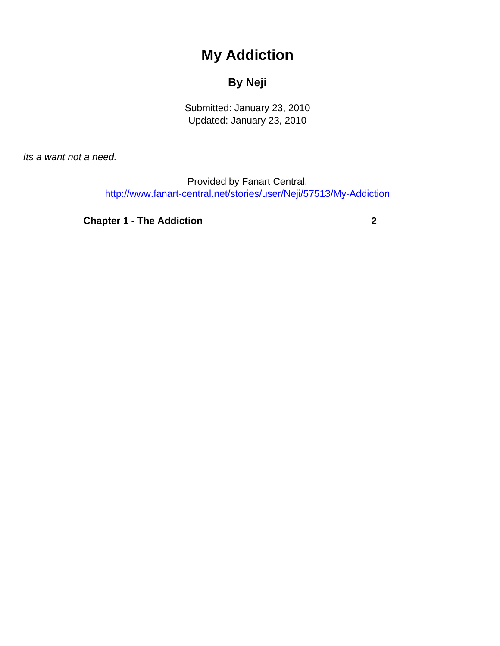## **My Addiction**

## **By Neji**

Submitted: January 23, 2010 Updated: January 23, 2010

<span id="page-0-0"></span>Its a want not a need.

Provided by Fanart Central. [http://www.fanart-central.net/stories/user/Neji/57513/My-Addiction](#page-0-0)

**[Chapter 1 - The Addiction](#page-1-0) [2](#page-1-0)**